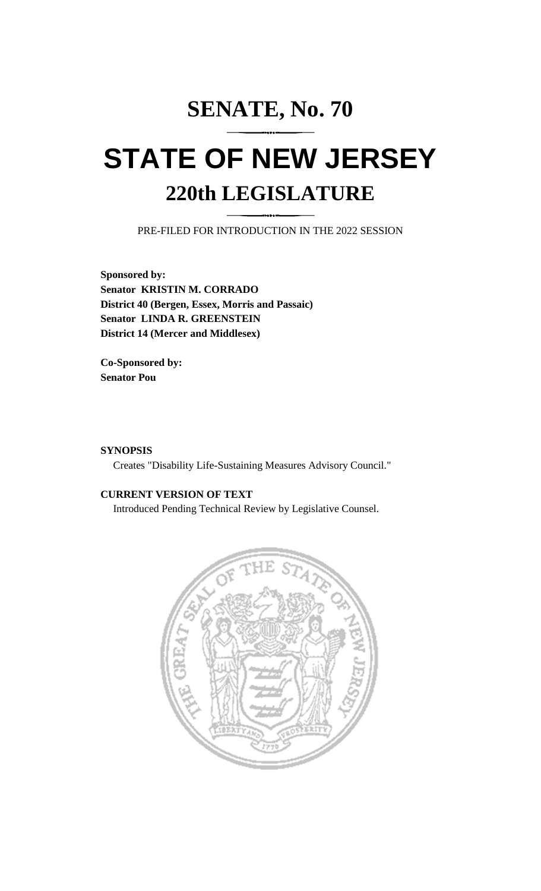# **SENATE, No. 70**

# **STATE OF NEW JERSEY 220th LEGISLATURE**

PRE-FILED FOR INTRODUCTION IN THE 2022 SESSION

**Sponsored by: Senator KRISTIN M. CORRADO District 40 (Bergen, Essex, Morris and Passaic) Senator LINDA R. GREENSTEIN District 14 (Mercer and Middlesex)**

**Co-Sponsored by: Senator Pou**

### **SYNOPSIS**

Creates "Disability Life-Sustaining Measures Advisory Council."

## **CURRENT VERSION OF TEXT**

Introduced Pending Technical Review by Legislative Counsel.

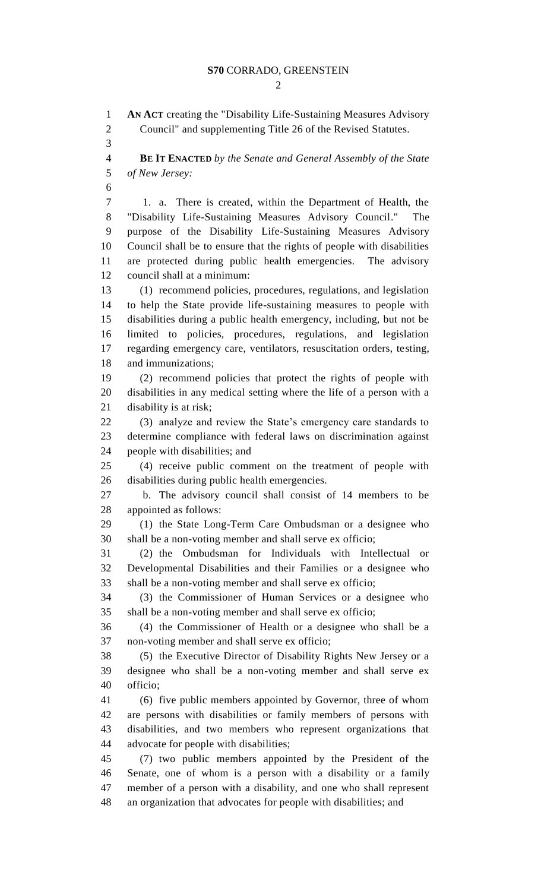#### **S70** CORRADO, GREENSTEIN

**AN ACT** creating the "Disability Life-Sustaining Measures Advisory

Council" and supplementing Title 26 of the Revised Statutes.

 $\mathcal{D}_{\mathcal{L}}$ 

 **BE IT ENACTED** *by the Senate and General Assembly of the State of New Jersey:* 1. a. There is created, within the Department of Health, the "Disability Life-Sustaining Measures Advisory Council." The purpose of the Disability Life-Sustaining Measures Advisory Council shall be to ensure that the rights of people with disabilities are protected during public health emergencies. The advisory council shall at a minimum: (1) recommend policies, procedures, regulations, and legislation to help the State provide life-sustaining measures to people with disabilities during a public health emergency, including, but not be limited to policies, procedures, regulations, and legislation regarding emergency care, ventilators, resuscitation orders, testing, and immunizations;

 (2) recommend policies that protect the rights of people with disabilities in any medical setting where the life of a person with a disability is at risk;

 (3) analyze and review the State's emergency care standards to determine compliance with federal laws on discrimination against people with disabilities; and

 (4) receive public comment on the treatment of people with disabilities during public health emergencies.

 b. The advisory council shall consist of 14 members to be appointed as follows:

 (1) the State Long-Term Care Ombudsman or a designee who shall be a non-voting member and shall serve ex officio;

 (2) the Ombudsman for Individuals with Intellectual or Developmental Disabilities and their Families or a designee who shall be a non-voting member and shall serve ex officio;

 (3) the Commissioner of Human Services or a designee who shall be a non-voting member and shall serve ex officio;

 (4) the Commissioner of Health or a designee who shall be a non-voting member and shall serve ex officio;

 (5) the Executive Director of Disability Rights New Jersey or a designee who shall be a non-voting member and shall serve ex officio;

 (6) five public members appointed by Governor, three of whom are persons with disabilities or family members of persons with disabilities, and two members who represent organizations that advocate for people with disabilities;

 (7) two public members appointed by the President of the Senate, one of whom is a person with a disability or a family member of a person with a disability, and one who shall represent an organization that advocates for people with disabilities; and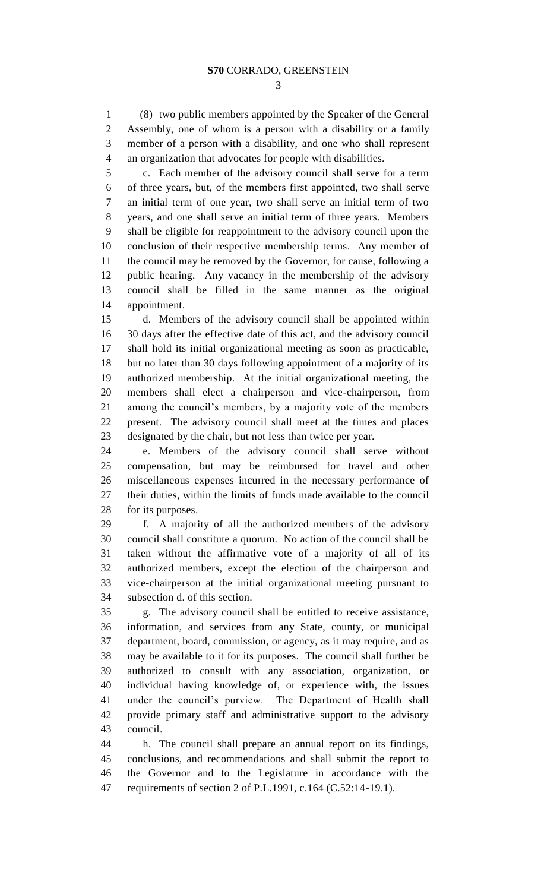(8) two public members appointed by the Speaker of the General Assembly, one of whom is a person with a disability or a family member of a person with a disability, and one who shall represent an organization that advocates for people with disabilities.

 c. Each member of the advisory council shall serve for a term of three years, but, of the members first appointed, two shall serve an initial term of one year, two shall serve an initial term of two years, and one shall serve an initial term of three years. Members shall be eligible for reappointment to the advisory council upon the conclusion of their respective membership terms. Any member of the council may be removed by the Governor, for cause, following a public hearing. Any vacancy in the membership of the advisory council shall be filled in the same manner as the original appointment.

 d. Members of the advisory council shall be appointed within 30 days after the effective date of this act, and the advisory council shall hold its initial organizational meeting as soon as practicable, but no later than 30 days following appointment of a majority of its authorized membership. At the initial organizational meeting, the members shall elect a chairperson and vice-chairperson, from among the council's members, by a majority vote of the members present. The advisory council shall meet at the times and places designated by the chair, but not less than twice per year.

 e. Members of the advisory council shall serve without compensation, but may be reimbursed for travel and other miscellaneous expenses incurred in the necessary performance of their duties, within the limits of funds made available to the council for its purposes.

 f. A majority of all the authorized members of the advisory council shall constitute a quorum. No action of the council shall be taken without the affirmative vote of a majority of all of its authorized members, except the election of the chairperson and vice-chairperson at the initial organizational meeting pursuant to subsection d. of this section.

 g. The advisory council shall be entitled to receive assistance, information, and services from any State, county, or municipal department, board, commission, or agency, as it may require, and as may be available to it for its purposes. The council shall further be authorized to consult with any association, organization, or individual having knowledge of, or experience with, the issues under the council's purview. The Department of Health shall provide primary staff and administrative support to the advisory council.

 h. The council shall prepare an annual report on its findings, conclusions, and recommendations and shall submit the report to the Governor and to the Legislature in accordance with the requirements of section 2 of P.L.1991, c.164 (C.52:14-19.1).